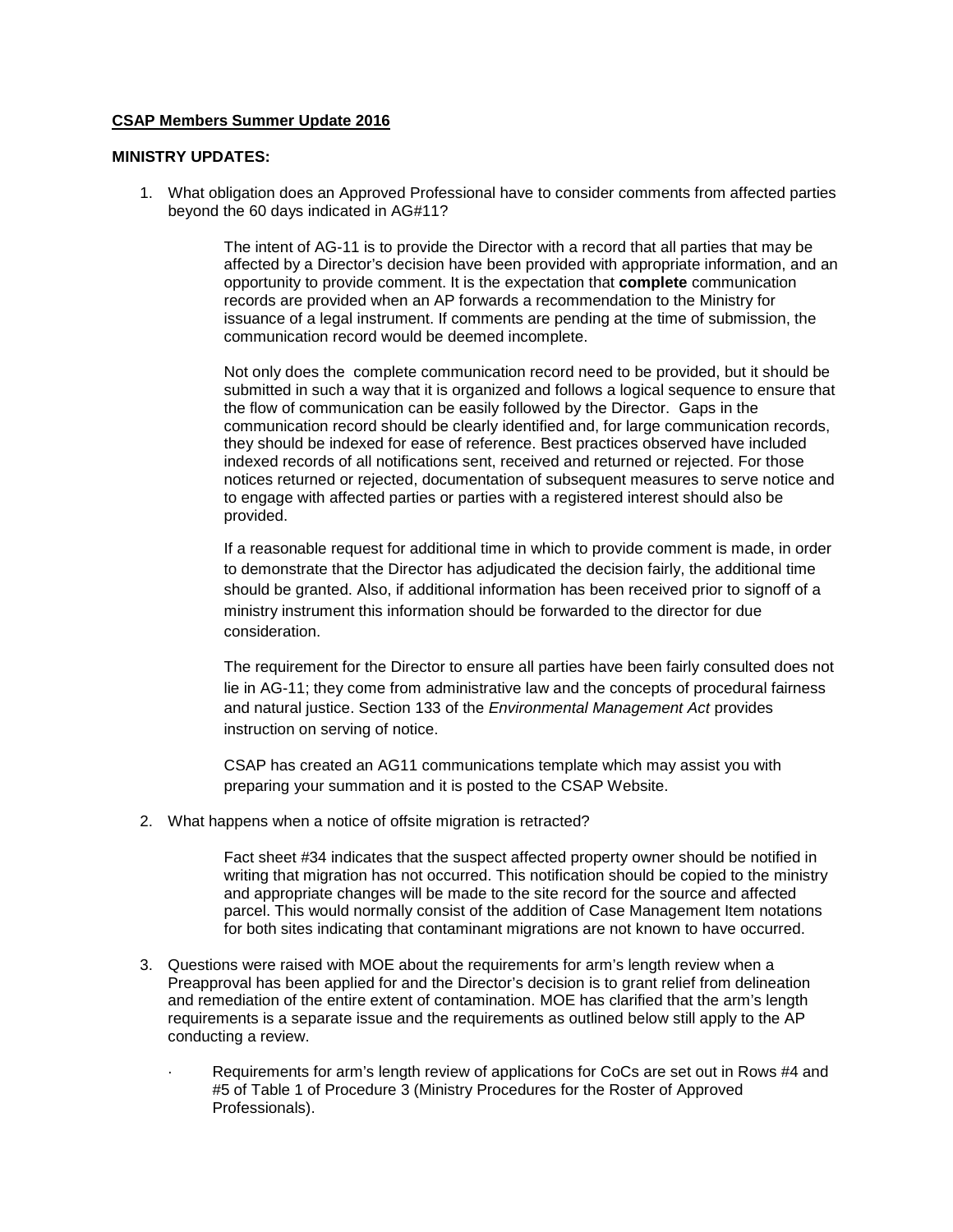#### **CSAP Members Summer Update 2016**

#### **MINISTRY UPDATES:**

1. What obligation does an Approved Professional have to consider comments from affected parties beyond the 60 days indicated in AG#11?

> The intent of AG-11 is to provide the Director with a record that all parties that may be affected by a Director's decision have been provided with appropriate information, and an opportunity to provide comment. It is the expectation that **complete** communication records are provided when an AP forwards a recommendation to the Ministry for issuance of a legal instrument. If comments are pending at the time of submission, the communication record would be deemed incomplete.

> Not only does the complete communication record need to be provided, but it should be submitted in such a way that it is organized and follows a logical sequence to ensure that the flow of communication can be easily followed by the Director. Gaps in the communication record should be clearly identified and, for large communication records, they should be indexed for ease of reference. Best practices observed have included indexed records of all notifications sent, received and returned or rejected. For those notices returned or rejected, documentation of subsequent measures to serve notice and to engage with affected parties or parties with a registered interest should also be provided.

> If a reasonable request for additional time in which to provide comment is made, in order to demonstrate that the Director has adjudicated the decision fairly, the additional time should be granted. Also, if additional information has been received prior to signoff of a ministry instrument this information should be forwarded to the director for due consideration.

> The requirement for the Director to ensure all parties have been fairly consulted does not lie in AG-11; they come from administrative law and the concepts of procedural fairness and natural justice. Section 133 of the *Environmental Management Act* provides instruction on serving of notice.

CSAP has created an AG11 communications template which may assist you with preparing your summation and it is posted to the CSAP Website.

2. What happens when a notice of offsite migration is retracted?

Fact sheet #34 indicates that the suspect affected property owner should be notified in writing that migration has not occurred. This notification should be copied to the ministry and appropriate changes will be made to the site record for the source and affected parcel. This would normally consist of the addition of Case Management Item notations for both sites indicating that contaminant migrations are not known to have occurred.

- 3. Questions were raised with MOE about the requirements for arm's length review when a Preapproval has been applied for and the Director's decision is to grant relief from delineation and remediation of the entire extent of contamination. MOE has clarified that the arm's length requirements is a separate issue and the requirements as outlined below still apply to the AP conducting a review.
	- Requirements for arm's length review of applications for CoCs are set out in Rows #4 and #5 of Table 1 of Procedure 3 (Ministry Procedures for the Roster of Approved Professionals).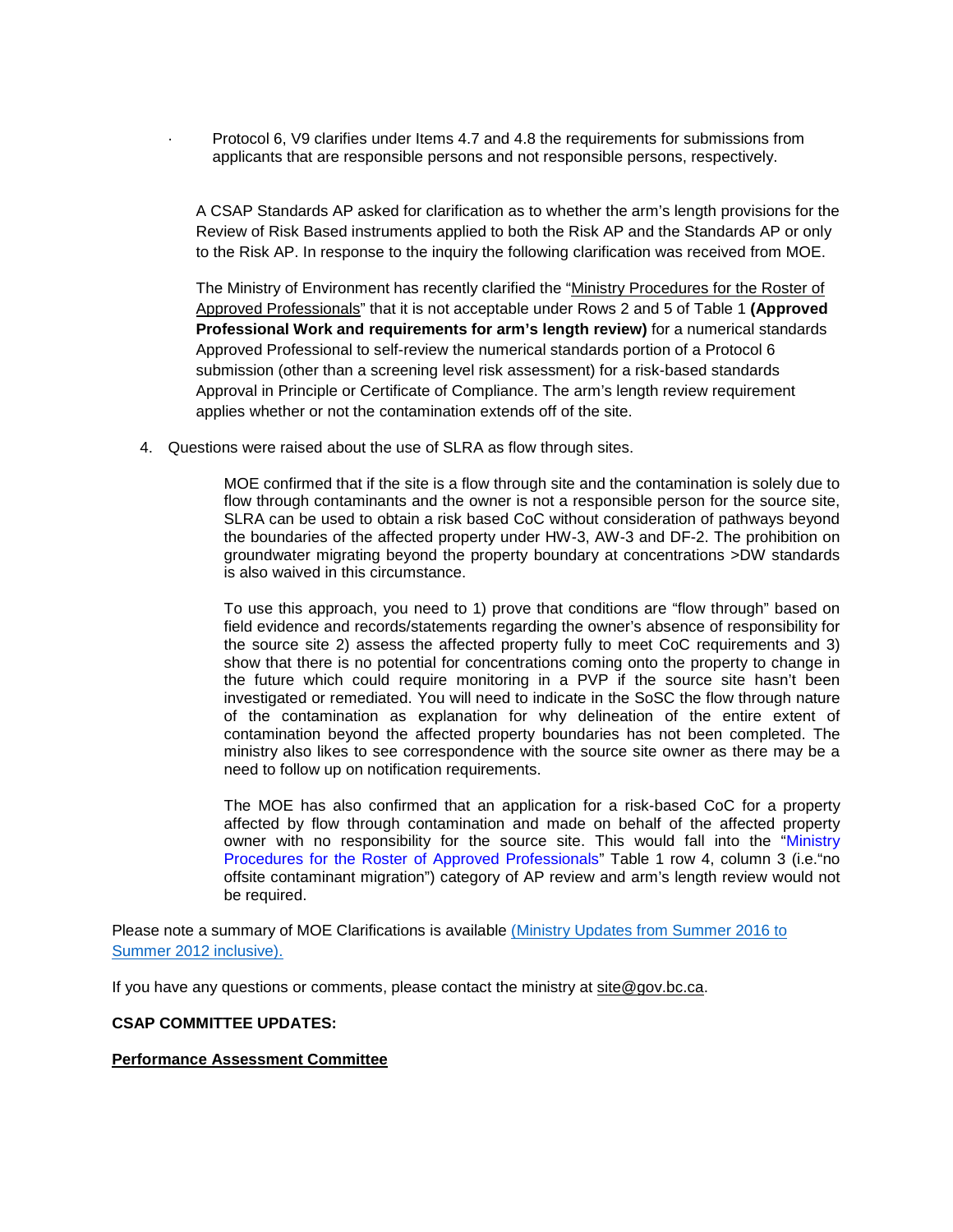· Protocol 6, V9 clarifies under Items 4.7 and 4.8 the requirements for submissions from applicants that are responsible persons and not responsible persons, respectively.

A CSAP Standards AP asked for clarification as to whether the arm's length provisions for the Review of Risk Based instruments applied to both the Risk AP and the Standards AP or only to the Risk AP. In response to the inquiry the following clarification was received from MOE.

The Ministry of Environment has recently clarified the "Ministry Procedures for the Roster of [Approved Professionals"](http://www.env.gov.bc.ca/epd/remediation/policy_procedure_protocol/procedure/pdf/roster_procedure.pdf) that it is not acceptable under Rows 2 and 5 of Table 1 **(Approved Professional Work and requirements for arm's length review)** for a numerical standards Approved Professional to self-review the numerical standards portion of a Protocol 6 submission (other than a screening level risk assessment) for a risk-based standards Approval in Principle or Certificate of Compliance. The arm's length review requirement applies whether or not the contamination extends off of the site.

4. Questions were raised about the use of SLRA as flow through sites.

MOE confirmed that if the site is a flow through site and the contamination is solely due to flow through contaminants and the owner is not a responsible person for the source site, SLRA can be used to obtain a risk based CoC without consideration of pathways beyond the boundaries of the affected property under HW-3, AW-3 and DF-2. The prohibition on groundwater migrating beyond the property boundary at concentrations >DW standards is also waived in this circumstance.

To use this approach, you need to 1) prove that conditions are "flow through" based on field evidence and records/statements regarding the owner's absence of responsibility for the source site 2) assess the affected property fully to meet CoC requirements and 3) show that there is no potential for concentrations coming onto the property to change in the future which could require monitoring in a PVP if the source site hasn't been investigated or remediated. You will need to indicate in the SoSC the flow through nature of the contamination as explanation for why delineation of the entire extent of contamination beyond the affected property boundaries has not been completed. The ministry also likes to see correspondence with the source site owner as there may be a need to follow up on notification requirements.

The MOE has also confirmed that an application for a risk-based CoC for a property affected by flow through contamination and made on behalf of the affected property owner with no responsibility for the source site. This would fall into the "Ministry Procedures for the Roster of Approved Professionals" Table 1 row 4, column 3 (i.e."no offsite contaminant migration") category of AP review and arm's length review would not be required.

Please note a summary of MOE Clarifications is available [\(Ministry Updates from Summer 2016 to](http://csapsociety.bc.ca/members/make-a-submission/summarysitecondition-csap-annotateion-revised-july-6-2016/)  [Summer 2012 inclusive\).](http://csapsociety.bc.ca/members/members-updates/)

If you have any questions or comments, please contact the ministry at [site@gov.bc.ca.](mailto:site@gov.bc.ca)

#### **CSAP COMMITTEE UPDATES:**

#### **Performance Assessment Committee**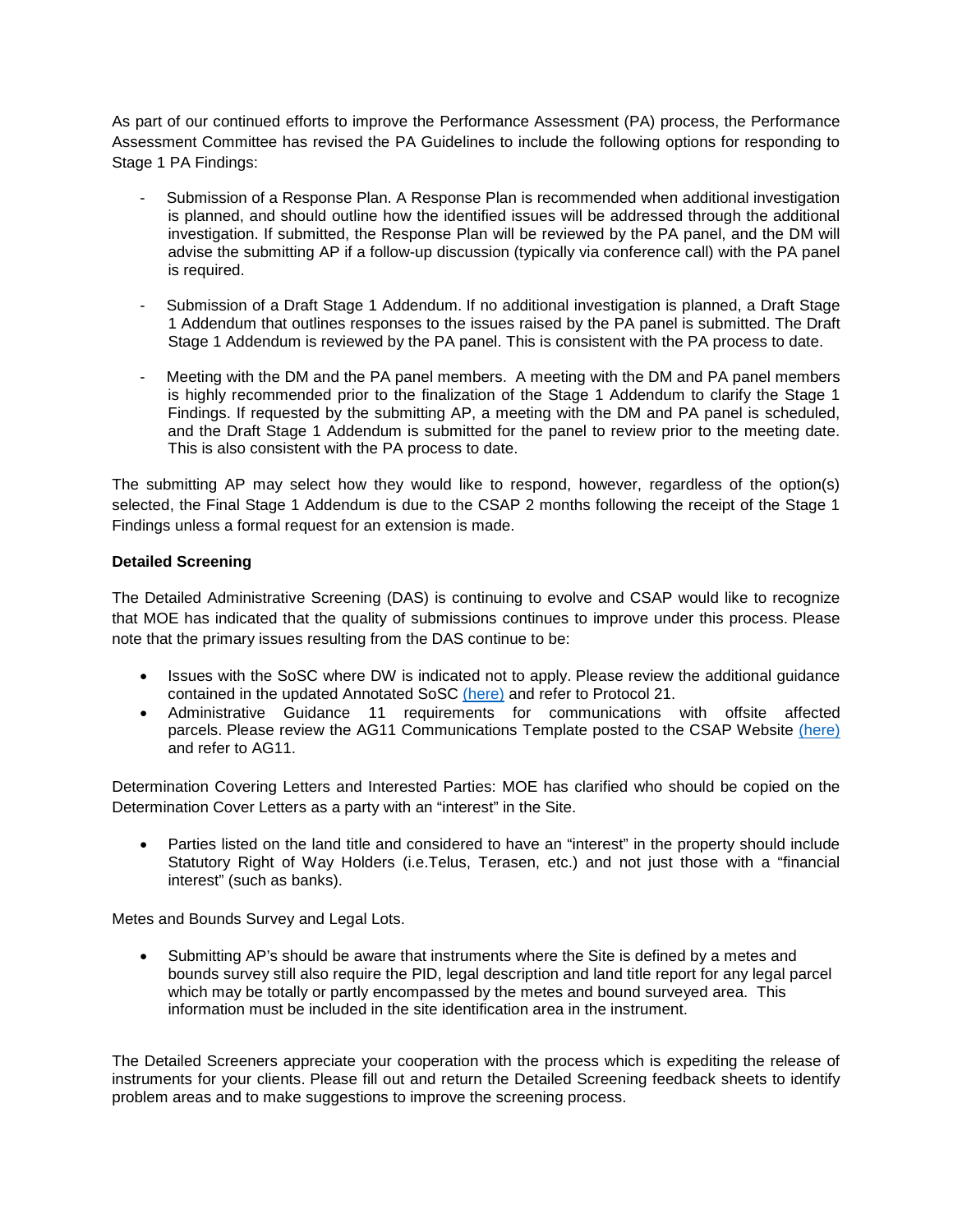As part of our continued efforts to improve the Performance Assessment (PA) process, the Performance Assessment Committee has revised the PA Guidelines to include the following options for responding to Stage 1 PA Findings:

- Submission of a Response Plan. A Response Plan is recommended when additional investigation is planned, and should outline how the identified issues will be addressed through the additional investigation. If submitted, the Response Plan will be reviewed by the PA panel, and the DM will advise the submitting AP if a follow-up discussion (typically via conference call) with the PA panel is required.
- Submission of a Draft Stage 1 Addendum. If no additional investigation is planned, a Draft Stage 1 Addendum that outlines responses to the issues raised by the PA panel is submitted. The Draft Stage 1 Addendum is reviewed by the PA panel. This is consistent with the PA process to date.
- Meeting with the DM and the PA panel members. A meeting with the DM and PA panel members is highly recommended prior to the finalization of the Stage 1 Addendum to clarify the Stage 1 Findings. If requested by the submitting AP, a meeting with the DM and PA panel is scheduled, and the Draft Stage 1 Addendum is submitted for the panel to review prior to the meeting date. This is also consistent with the PA process to date.

The submitting AP may select how they would like to respond, however, regardless of the option(s) selected, the Final Stage 1 Addendum is due to the CSAP 2 months following the receipt of the Stage 1 Findings unless a formal request for an extension is made.

### **Detailed Screening**

The Detailed Administrative Screening (DAS) is continuing to evolve and CSAP would like to recognize that MOE has indicated that the quality of submissions continues to improve under this process. Please note that the primary issues resulting from the DAS continue to be:

- Issues with the SoSC where DW is indicated not to apply. Please review the additional guidance contained in the updated Annotated SoSC [\(here\)](http://csapsociety.bc.ca/members/make-a-submission/summarysitecondition-csap-annotateion-revised-july-6-2016/) and refer to Protocol 21.
- Administrative Guidance 11 requirements for communications with offsite affected parcels. Please review the AG11 Communications Template posted to the CSAP Website [\(here\)](http://csapsociety.bc.ca/members/make-a-submission/csap-ag-11-communications-template-version-1-may-30-2016/) and refer to AG11.

Determination Covering Letters and Interested Parties: MOE has clarified who should be copied on the Determination Cover Letters as a party with an "interest" in the Site.

• Parties listed on the land title and considered to have an "interest" in the property should include Statutory Right of Way Holders (i.e.Telus, Terasen, etc.) and not just those with a "financial interest" (such as banks).

Metes and Bounds Survey and Legal Lots.

• Submitting AP's should be aware that instruments where the Site is defined by a metes and bounds survey still also require the PID, legal description and land title report for any legal parcel which may be totally or partly encompassed by the metes and bound surveyed area. This information must be included in the site identification area in the instrument.

The Detailed Screeners appreciate your cooperation with the process which is expediting the release of instruments for your clients. Please fill out and return the Detailed Screening feedback sheets to identify problem areas and to make suggestions to improve the screening process.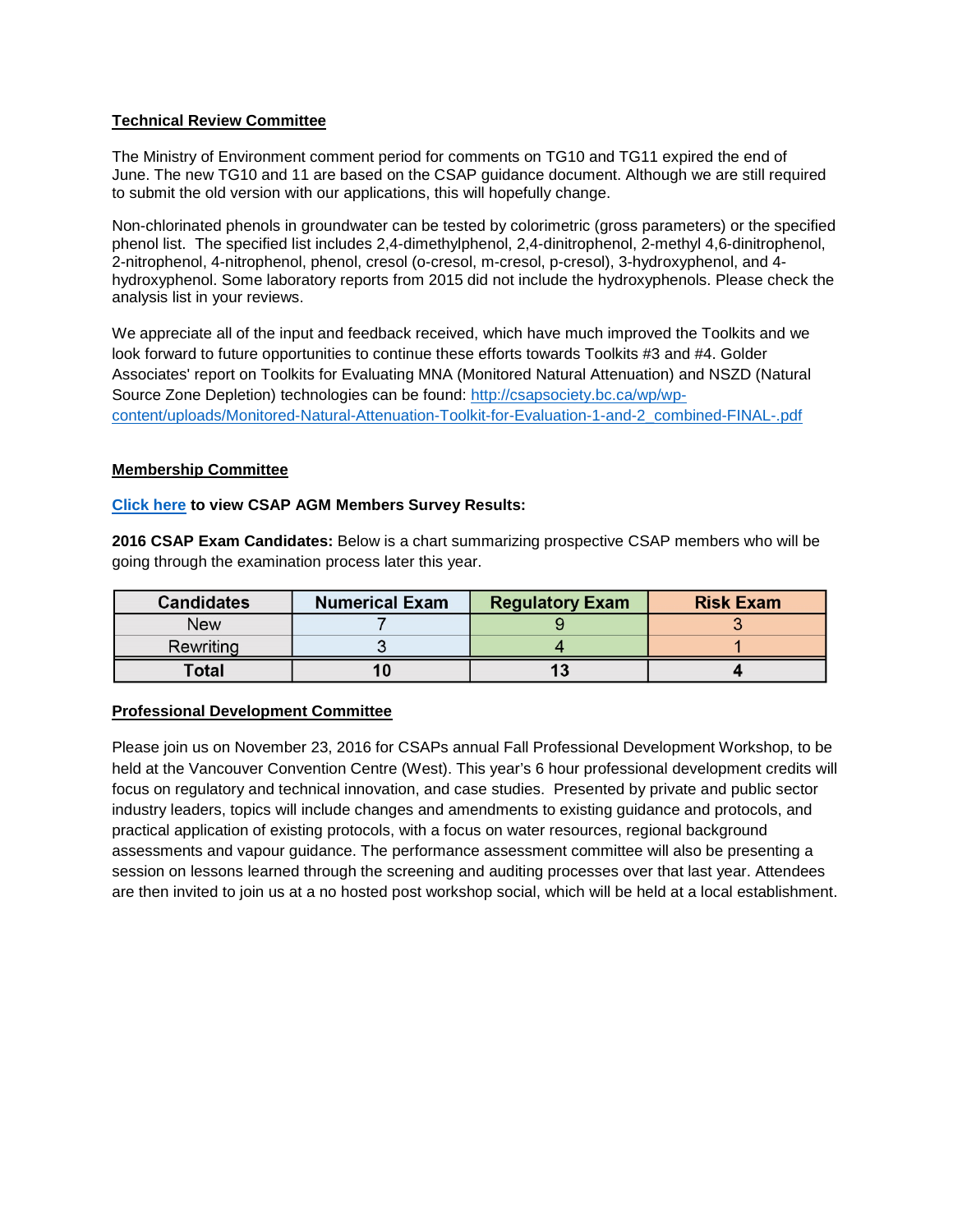## **Technical Review Committee**

The Ministry of Environment comment period for comments on TG10 and TG11 expired the end of June. The new TG10 and 11 are based on the CSAP guidance document. Although we are still required to submit the old version with our applications, this will hopefully change.

Non-chlorinated phenols in groundwater can be tested by colorimetric (gross parameters) or the specified phenol list. The specified list includes 2,4-dimethylphenol, 2,4-dinitrophenol, 2-methyl 4,6-dinitrophenol, 2-nitrophenol, 4-nitrophenol, phenol, cresol (o-cresol, m-cresol, p-cresol), 3-hydroxyphenol, and 4 hydroxyphenol. Some laboratory reports from 2015 did not include the hydroxyphenols. Please check the analysis list in your reviews.

We appreciate all of the input and feedback received, which have much improved the Toolkits and we look forward to future opportunities to continue these efforts towards Toolkits #3 and #4. Golder Associates' report on Toolkits for Evaluating MNA (Monitored Natural Attenuation) and NSZD (Natural Source Zone Depletion) technologies can be found: [http://csapsociety.bc.ca/wp/wp](http://csapsociety.bc.ca/wp/wp-content/uploads/Monitored-Natural-Attenuation-Toolkit-for-Evaluation-1-and-2_combined-FINAL-.pdf)[content/uploads/Monitored-Natural-Attenuation-Toolkit-for-Evaluation-1-and-2\\_combined-FINAL-.pdf](http://csapsociety.bc.ca/wp/wp-content/uploads/Monitored-Natural-Attenuation-Toolkit-for-Evaluation-1-and-2_combined-FINAL-.pdf)

## **Membership Committee**

### **[Click here](http://csapsociety.bc.ca/wp/wp-content/uploads/CSAP-AGM-2016-Members-Survey-Summary-v2.pdf) to view CSAP AGM Members Survey Results:**

**2016 CSAP Exam Candidates:** Below is a chart summarizing prospective CSAP members who will be going through the examination process later this year.

| <b>Candidates</b> | <b>Numerical Exam</b> | <b>Regulatory Exam</b> | <b>Risk Exam</b> |
|-------------------|-----------------------|------------------------|------------------|
| <b>New</b>        |                       |                        |                  |
| Rewriting         |                       |                        |                  |
| Total             |                       |                        |                  |

### **Professional Development Committee**

Please join us on November 23, 2016 for CSAPs annual Fall Professional Development Workshop, to be held at the Vancouver Convention Centre (West). This year's 6 hour professional development credits will focus on regulatory and technical innovation, and case studies. Presented by private and public sector industry leaders, topics will include changes and amendments to existing guidance and protocols, and practical application of existing protocols, with a focus on water resources, regional background assessments and vapour guidance. The performance assessment committee will also be presenting a session on lessons learned through the screening and auditing processes over that last year. Attendees are then invited to join us at a no hosted post workshop social, which will be held at a local establishment.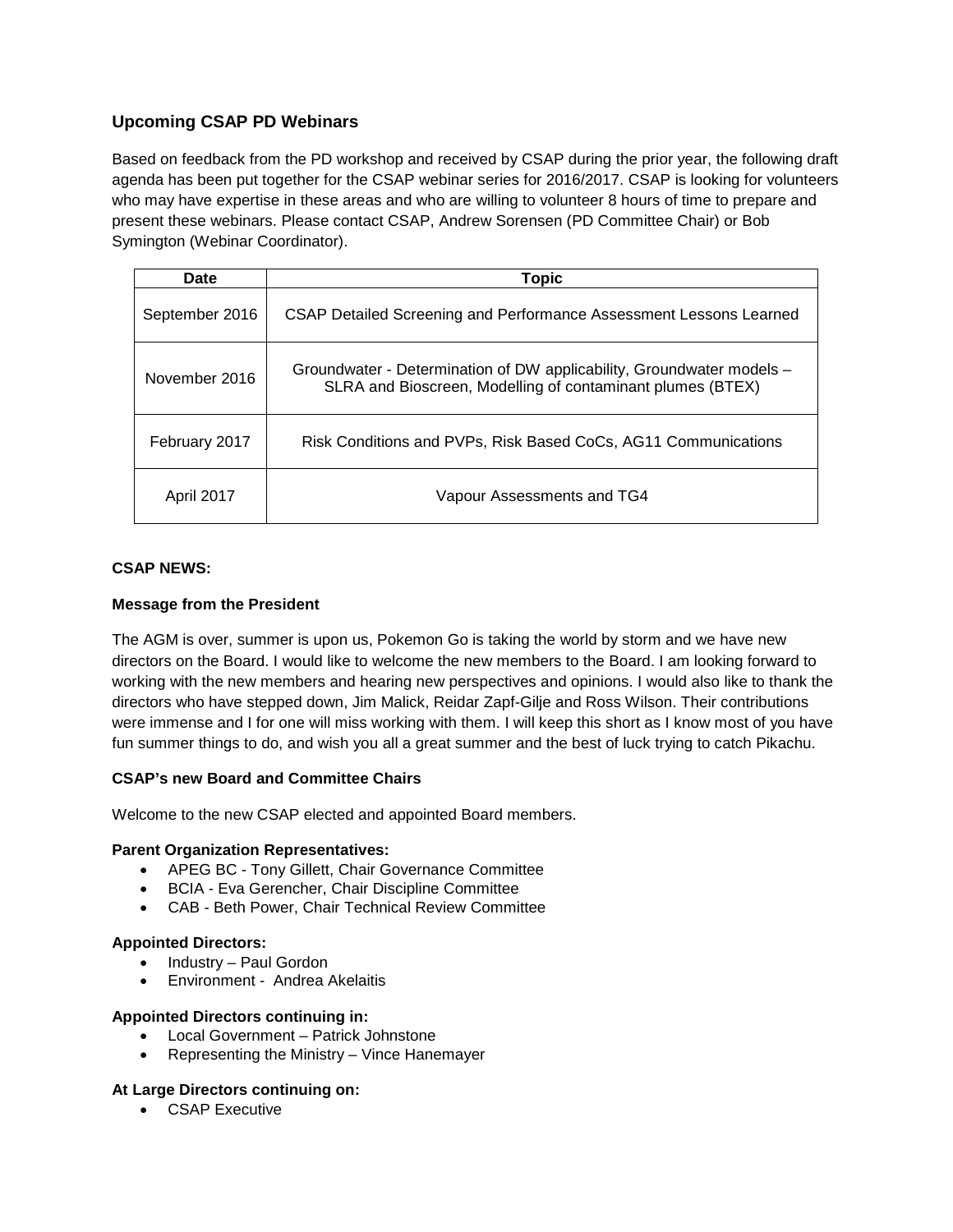# **Upcoming CSAP PD Webinars**

Based on feedback from the PD workshop and received by CSAP during the prior year, the following draft agenda has been put together for the CSAP webinar series for 2016/2017. CSAP is looking for volunteers who may have expertise in these areas and who are willing to volunteer 8 hours of time to prepare and present these webinars. Please contact CSAP, Andrew Sorensen (PD Committee Chair) or Bob Symington (Webinar Coordinator).

| Date           | Topic                                                                                                                               |  |  |
|----------------|-------------------------------------------------------------------------------------------------------------------------------------|--|--|
| September 2016 | CSAP Detailed Screening and Performance Assessment Lessons Learned                                                                  |  |  |
| November 2016  | Groundwater - Determination of DW applicability, Groundwater models –<br>SLRA and Bioscreen, Modelling of contaminant plumes (BTEX) |  |  |
| February 2017  | Risk Conditions and PVPs, Risk Based CoCs, AG11 Communications                                                                      |  |  |
| April 2017     | Vapour Assessments and TG4                                                                                                          |  |  |

### **CSAP NEWS:**

### **Message from the President**

The AGM is over, summer is upon us, Pokemon Go is taking the world by storm and we have new directors on the Board. I would like to welcome the new members to the Board. I am looking forward to working with the new members and hearing new perspectives and opinions. I would also like to thank the directors who have stepped down, Jim Malick, Reidar Zapf-Gilje and Ross Wilson. Their contributions were immense and I for one will miss working with them. I will keep this short as I know most of you have fun summer things to do, and wish you all a great summer and the best of luck trying to catch Pikachu.

### **CSAP's new Board and Committee Chairs**

Welcome to the new CSAP elected and appointed Board members.

#### **Parent Organization Representatives:**

- APEG BC Tony Gillett, Chair Governance Committee
- BCIA Eva Gerencher, Chair Discipline Committee
- CAB Beth Power, Chair Technical Review Committee

#### **Appointed Directors:**

- Industry Paul Gordon
- Environment Andrea Akelaitis

#### **Appointed Directors continuing in:**

- Local Government Patrick Johnstone
- Representing the Ministry Vince Hanemayer

#### **At Large Directors continuing on:**

• CSAP Executive